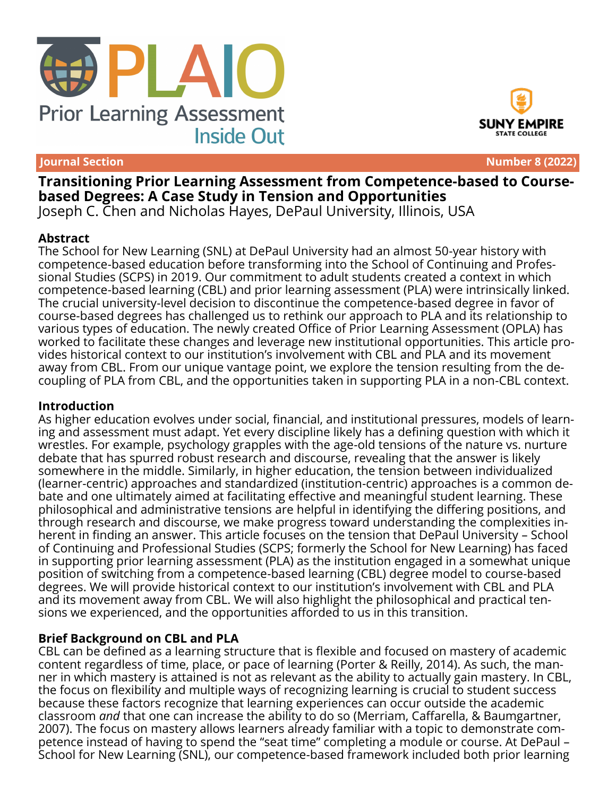



**Journal Section Number 8 (2022)**

**Transitioning Prior Learning Assessment from Competence-based to Coursebased Degrees: A Case Study in Tension and Opportunities** Joseph C. Chen and Nicholas Hayes, DePaul University, Illinois, USA

#### **Abstract**

The School for New Learning (SNL) at DePaul University had an almost 50-year history with competence-based education before transforming into the School of Continuing and Professional Studies (SCPS) in 2019. Our commitment to adult students created a context in which competence-based learning (CBL) and prior learning assessment (PLA) were intrinsically linked. The crucial university-level decision to discontinue the competence-based degree in favor of course-based degrees has challenged us to rethink our approach to PLA and its relationship to various types of education. The newly created Office of Prior Learning Assessment (OPLA) has worked to facilitate these changes and leverage new institutional opportunities. This article provides historical context to our institution's involvement with CBL and PLA and its movement away from CBL. From our unique vantage point, we explore the tension resulting from the decoupling of PLA from CBL, and the opportunities taken in supporting PLA in a non-CBL context.

#### **Introduction**

As higher education evolves under social, financial, and institutional pressures, models of learning and assessment must adapt. Yet every discipline likely has a defining question with which it wrestles. For example, psychology grapples with the age-old tensions of the nature vs. nurture debate that has spurred robust research and discourse, revealing that the answer is likely somewhere in the middle. Similarly, in higher education, the tension between individualized (learner-centric) approaches and standardized (institution-centric) approaches is a common debate and one ultimately aimed at facilitating effective and meaningful student learning. These philosophical and administrative tensions are helpful in identifying the differing positions, and through research and discourse, we make progress toward understanding the complexities inherent in finding an answer. This article focuses on the tension that DePaul University – School of Continuing and Professional Studies (SCPS; formerly the School for New Learning) has faced in supporting prior learning assessment (PLA) as the institution engaged in a somewhat unique position of switching from a competence-based learning (CBL) degree model to course-based degrees. We will provide historical context to our institution's involvement with CBL and PLA and its movement away from CBL. We will also highlight the philosophical and practical tensions we experienced, and the opportunities afforded to us in this transition.

## **Brief Background on CBL and PLA**

CBL can be defined as a learning structure that is flexible and focused on mastery of academic content regardless of time, place, or pace of learning (Porter & Reilly, 2014). As such, the manner in which mastery is attained is not as relevant as the ability to actually gain mastery. In CBL, the focus on flexibility and multiple ways of recognizing learning is crucial to student success because these factors recognize that learning experiences can occur outside the academic classroom *and* that one can increase the ability to do so (Merriam, Caffarella, & Baumgartner, 2007). The focus on mastery allows learners already familiar with a topic to demonstrate competence instead of having to spend the "seat time" completing a module or course. At DePaul – School for New Learning (SNL), our competence-based framework included both prior learning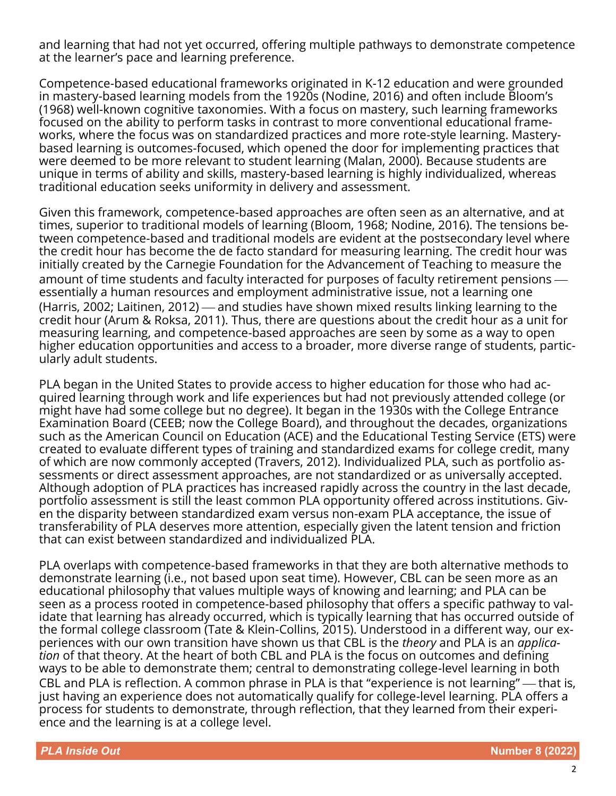and learning that had not yet occurred, offering multiple pathways to demonstrate competence at the learner's pace and learning preference.

Competence-based educational frameworks originated in K-12 education and were grounded in mastery-based learning models from the 1920s (Nodine, 2016) and often include Bloom's (1968) well-known cognitive taxonomies. With a focus on mastery, such learning frameworks focused on the ability to perform tasks in contrast to more conventional educational frameworks, where the focus was on standardized practices and more rote-style learning. Masterybased learning is outcomes-focused, which opened the door for implementing practices that were deemed to be more relevant to student learning (Malan, 2000). Because students are unique in terms of ability and skills, mastery-based learning is highly individualized, whereas traditional education seeks uniformity in delivery and assessment.

Given this framework, competence-based approaches are often seen as an alternative, and at times, superior to traditional models of learning (Bloom, 1968; Nodine, 2016). The tensions between competence-based and traditional models are evident at the postsecondary level where the credit hour has become the de facto standard for measuring learning. The credit hour was initially created by the Carnegie Foundation for the Advancement of Teaching to measure the amount of time students and faculty interacted for purposes of faculty retirement pensions essentially a human resources and employment administrative issue, not a learning one (Harris, 2002; Laitinen, 2012) — and studies have shown mixed results linking learning to the credit hour (Arum & Roksa, 2011). Thus, there are questions about the credit hour as a unit for measuring learning, and competence-based approaches are seen by some as a way to open higher education opportunities and access to a broader, more diverse range of students, particularly adult students.

PLA began in the United States to provide access to higher education for those who had acquired learning through work and life experiences but had not previously attended college (or might have had some college but no degree). It began in the 1930s with the College Entrance Examination Board (CEEB; now the College Board), and throughout the decades, organizations such as the American Council on Education (ACE) and the Educational Testing Service (ETS) were created to evaluate different types of training and standardized exams for college credit, many of which are now commonly accepted (Travers, 2012). Individualized PLA, such as portfolio assessments or direct assessment approaches, are not standardized or as universally accepted. Although adoption of PLA practices has increased rapidly across the country in the last decade, portfolio assessment is still the least common PLA opportunity offered across institutions. Given the disparity between standardized exam versus non-exam PLA acceptance, the issue of transferability of PLA deserves more attention, especially given the latent tension and friction that can exist between standardized and individualized PLA.

PLA overlaps with competence-based frameworks in that they are both alternative methods to demonstrate learning (i.e., not based upon seat time). However, CBL can be seen more as an educational philosophy that values multiple ways of knowing and learning; and PLA can be seen as a process rooted in competence-based philosophy that offers a specific pathway to validate that learning has already occurred, which is typically learning that has occurred outside of the formal college classroom (Tate & Klein-Collins, 2015). Understood in a different way, our experiences with our own transition have shown us that CBL is the *theory* and PLA is an *application* of that theory. At the heart of both CBL and PLA is the focus on outcomes and defining ways to be able to demonstrate them; central to demonstrating college-level learning in both CBL and PLA is reflection. A common phrase in PLA is that "experience is not learning" — that is, just having an experience does not automatically qualify for college-level learning. PLA offers a process for students to demonstrate, through reflection, that they learned from their experience and the learning is at a college level.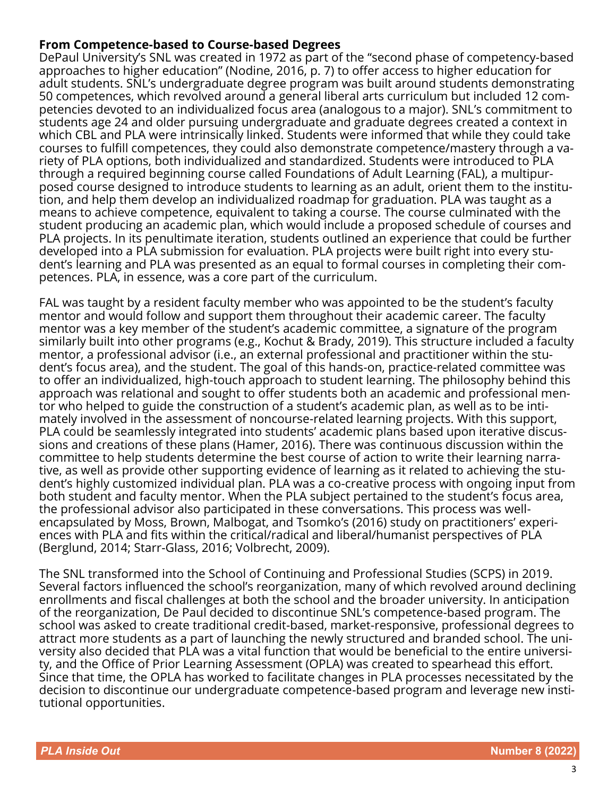# **From Competence-based to Course-based Degrees**

DePaul University's SNL was created in 1972 as part of the "second phase of competency-based approaches to higher education" (Nodine, 2016, p. 7) to offer access to higher education for adult students. SNL's undergraduate degree program was built around students demonstrating 50 competences, which revolved around a general liberal arts curriculum but included 12 competencies devoted to an individualized focus area (analogous to a major). SNL's commitment to students age 24 and older pursuing undergraduate and graduate degrees created a context in which CBL and PLA were intrinsically linked. Students were informed that while they could take courses to fulfill competences, they could also demonstrate competence/mastery through a variety of PLA options, both individualized and standardized. Students were introduced to PLA through a required beginning course called Foundations of Adult Learning (FAL), a multipurposed course designed to introduce students to learning as an adult, orient them to the institution, and help them develop an individualized roadmap for graduation. PLA was taught as a means to achieve competence, equivalent to taking a course. The course culminated with the student producing an academic plan, which would include a proposed schedule of courses and PLA projects. In its penultimate iteration, students outlined an experience that could be further developed into a PLA submission for evaluation. PLA projects were built right into every student's learning and PLA was presented as an equal to formal courses in completing their competences. PLA, in essence, was a core part of the curriculum.

FAL was taught by a resident faculty member who was appointed to be the student's faculty mentor and would follow and support them throughout their academic career. The faculty mentor was a key member of the student's academic committee, a signature of the program similarly built into other programs (e.g., Kochut & Brady, 2019). This structure included a faculty mentor, a professional advisor (i.e., an external professional and practitioner within the student's focus area), and the student. The goal of this hands-on, practice-related committee was to offer an individualized, high-touch approach to student learning. The philosophy behind this approach was relational and sought to offer students both an academic and professional mentor who helped to guide the construction of a student's academic plan, as well as to be intimately involved in the assessment of noncourse-related learning projects. With this support, PLA could be seamlessly integrated into students' academic plans based upon iterative discussions and creations of these plans (Hamer, 2016). There was continuous discussion within the committee to help students determine the best course of action to write their learning narrative, as well as provide other supporting evidence of learning as it related to achieving the student's highly customized individual plan. PLA was a co-creative process with ongoing input from both student and faculty mentor. When the PLA subject pertained to the student's focus area, the professional advisor also participated in these conversations. This process was wellencapsulated by Moss, Brown, Malbogat, and Tsomko's (2016) study on practitioners' experiences with PLA and fits within the critical/radical and liberal/humanist perspectives of PLA (Berglund, 2014; Starr-Glass, 2016; Volbrecht, 2009).

The SNL transformed into the School of Continuing and Professional Studies (SCPS) in 2019. Several factors influenced the school's reorganization, many of which revolved around declining enrollments and fiscal challenges at both the school and the broader university. In anticipation of the reorganization, De Paul decided to discontinue SNL's competence-based program. The school was asked to create traditional credit-based, market-responsive, professional degrees to attract more students as a part of launching the newly structured and branded school. The university also decided that PLA was a vital function that would be beneficial to the entire university, and the Office of Prior Learning Assessment (OPLA) was created to spearhead this effort. Since that time, the OPLA has worked to facilitate changes in PLA processes necessitated by the decision to discontinue our undergraduate competence-based program and leverage new institutional opportunities.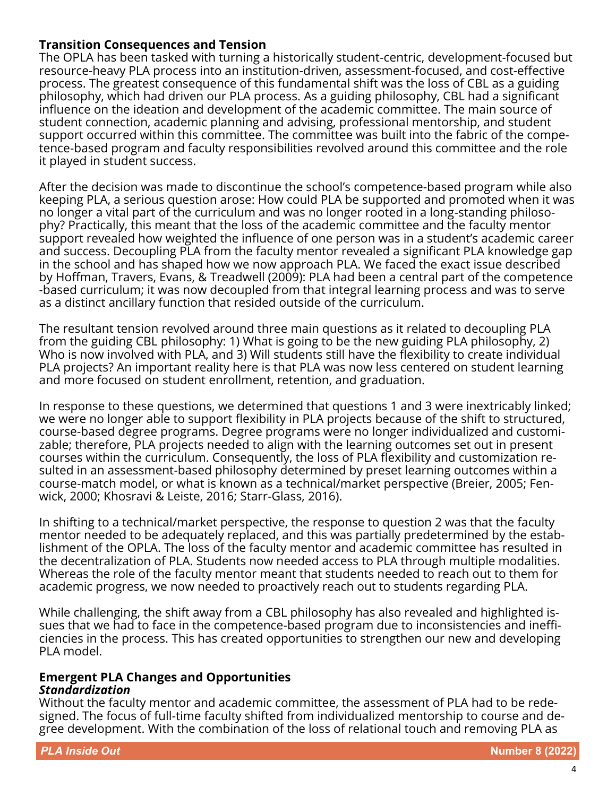# **Transition Consequences and Tension**

The OPLA has been tasked with turning a historically student-centric, development-focused but resource-heavy PLA process into an institution-driven, assessment-focused, and cost-effective process. The greatest consequence of this fundamental shift was the loss of CBL as a guiding philosophy, which had driven our PLA process. As a guiding philosophy, CBL had a significant influence on the ideation and development of the academic committee. The main source of student connection, academic planning and advising, professional mentorship, and student support occurred within this committee. The committee was built into the fabric of the competence-based program and faculty responsibilities revolved around this committee and the role it played in student success.

After the decision was made to discontinue the school's competence-based program while also keeping PLA, a serious question arose: How could PLA be supported and promoted when it was no longer a vital part of the curriculum and was no longer rooted in a long-standing philosophy? Practically, this meant that the loss of the academic committee and the faculty mentor support revealed how weighted the influence of one person was in a student's academic career and success. Decoupling PLA from the faculty mentor revealed a significant PLA knowledge gap in the school and has shaped how we now approach PLA. We faced the exact issue described by Hoffman, Travers, Evans, & Treadwell (2009): PLA had been a central part of the competence -based curriculum; it was now decoupled from that integral learning process and was to serve as a distinct ancillary function that resided outside of the curriculum.

The resultant tension revolved around three main questions as it related to decoupling PLA from the guiding CBL philosophy: 1) What is going to be the new guiding PLA philosophy, 2) Who is now involved with PLA, and 3) Will students still have the flexibility to create individual PLA projects? An important reality here is that PLA was now less centered on student learning and more focused on student enrollment, retention, and graduation.

In response to these questions, we determined that questions 1 and 3 were inextricably linked; we were no longer able to support flexibility in PLA projects because of the shift to structured, course-based degree programs. Degree programs were no longer individualized and customizable; therefore, PLA projects needed to align with the learning outcomes set out in present courses within the curriculum. Consequently, the loss of PLA flexibility and customization resulted in an assessment-based philosophy determined by preset learning outcomes within a course-match model, or what is known as a technical/market perspective (Breier, 2005; Fenwick, 2000; Khosravi & Leiste, 2016; Starr-Glass, 2016).

In shifting to a technical/market perspective, the response to question 2 was that the faculty mentor needed to be adequately replaced, and this was partially predetermined by the establishment of the OPLA. The loss of the faculty mentor and academic committee has resulted in the decentralization of PLA. Students now needed access to PLA through multiple modalities. Whereas the role of the faculty mentor meant that students needed to reach out to them for academic progress, we now needed to proactively reach out to students regarding PLA.

While challenging, the shift away from a CBL philosophy has also revealed and highlighted issues that we had to face in the competence-based program due to inconsistencies and inefficiencies in the process. This has created opportunities to strengthen our new and developing PLA model.

#### **Emergent PLA Changes and Opportunities** *Standardization*

Without the faculty mentor and academic committee, the assessment of PLA had to be redesigned. The focus of full-time faculty shifted from individualized mentorship to course and degree development. With the combination of the loss of relational touch and removing PLA as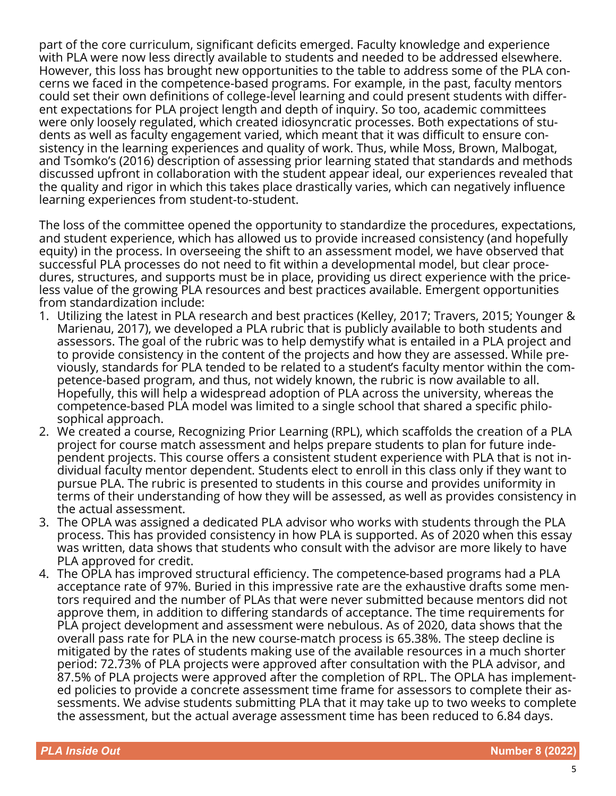part of the core curriculum, significant deficits emerged. Faculty knowledge and experience with PLA were now less directly available to students and needed to be addressed elsewhere. However, this loss has brought new opportunities to the table to address some of the PLA concerns we faced in the competence-based programs. For example, in the past, faculty mentors could set their own definitions of college-level learning and could present students with different expectations for PLA project length and depth of inquiry. So too, academic committees were only loosely regulated, which created idiosyncratic processes. Both expectations of students as well as faculty engagement varied, which meant that it was difficult to ensure consistency in the learning experiences and quality of work. Thus, while Moss, Brown, Malbogat, and Tsomko's (2016) description of assessing prior learning stated that standards and methods discussed upfront in collaboration with the student appear ideal, our experiences revealed that the quality and rigor in which this takes place drastically varies, which can negatively influence learning experiences from student-to-student.

The loss of the committee opened the opportunity to standardize the procedures, expectations, and student experience, which has allowed us to provide increased consistency (and hopefully equity) in the process. In overseeing the shift to an assessment model, we have observed that successful PLA processes do not need to fit within a developmental model, but clear procedures, structures, and supports must be in place, providing us direct experience with the priceless value of the growing PLA resources and best practices available. Emergent opportunities from standardization include:

- 1. Utilizing the latest in PLA research and best practices (Kelley, 2017; Travers, 2015; Younger & Marienau, 2017), we developed a PLA rubric that is publicly available to both students and assessors. The goal of the rubric was to help demystify what is entailed in a PLA project and to provide consistency in the content of the projects and how they are assessed. While previously, standards for PLA tended to be related to a student's faculty mentor within the competence-based program, and thus, not widely known, the rubric is now available to all. Hopefully, this will help a widespread adoption of PLA across the university, whereas the competence-based PLA model was limited to a single school that shared a specific philosophical approach.
- 2. We created a course, Recognizing Prior Learning (RPL), which scaffolds the creation of a PLA project for course match assessment and helps prepare students to plan for future independent projects. This course offers a consistent student experience with PLA that is not individual faculty mentor dependent. Students elect to enroll in this class only if they want to pursue PLA. The rubric is presented to students in this course and provides uniformity in terms of their understanding of how they will be assessed, as well as provides consistency in the actual assessment.
- 3. The OPLA was assigned a dedicated PLA advisor who works with students through the PLA process. This has provided consistency in how PLA is supported. As of 2020 when this essay was written, data shows that students who consult with the advisor are more likely to have PLA approved for credit.
- 4. The OPLA has improved structural efficiency. The competence-based programs had a PLA acceptance rate of 97%. Buried in this impressive rate are the exhaustive drafts some mentors required and the number of PLAs that were never submitted because mentors did not approve them, in addition to differing standards of acceptance. The time requirements for PLA project development and assessment were nebulous. As of 2020, data shows that the overall pass rate for PLA in the new course-match process is 65.38%. The steep decline is mitigated by the rates of students making use of the available resources in a much shorter period: 72.73% of PLA projects were approved after consultation with the PLA advisor, and 87.5% of PLA projects were approved after the completion of RPL. The OPLA has implemented policies to provide a concrete assessment time frame for assessors to complete their assessments. We advise students submitting PLA that it may take up to two weeks to complete the assessment, but the actual average assessment time has been reduced to 6.84 days.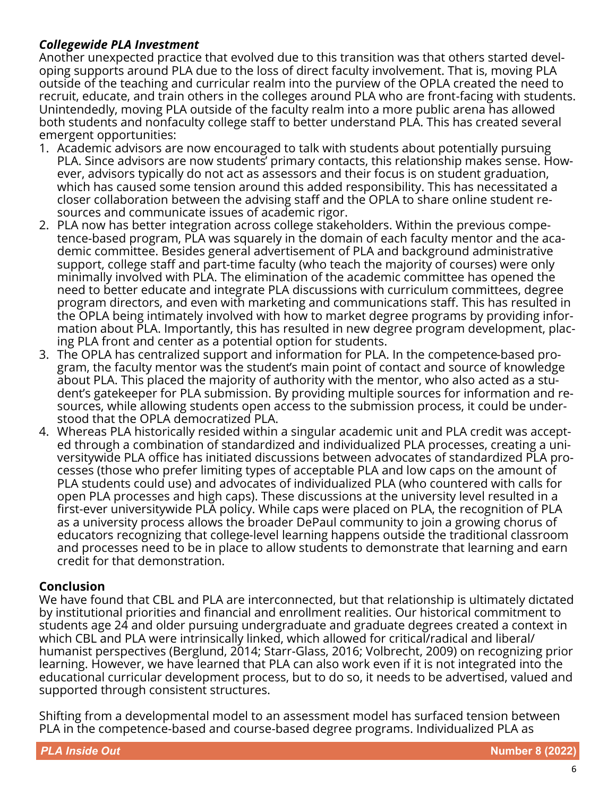# *Collegewide PLA Investment*

Another unexpected practice that evolved due to this transition was that others started developing supports around PLA due to the loss of direct faculty involvement. That is, moving PLA outside of the teaching and curricular realm into the purview of the OPLA created the need to recruit, educate, and train others in the colleges around PLA who are front-facing with students. Unintendedly, moving PLA outside of the faculty realm into a more public arena has allowed both students and nonfaculty college staff to better understand PLA. This has created several emergent opportunities:

- 1. Academic advisors are now encouraged to talk with students about potentially pursuing PLA. Since advisors are now students' primary contacts, this relationship makes sense. However, advisors typically do not act as assessors and their focus is on student graduation, which has caused some tension around this added responsibility. This has necessitated a closer collaboration between the advising staff and the OPLA to share online student resources and communicate issues of academic rigor.
- 2. PLA now has better integration across college stakeholders. Within the previous competence-based program, PLA was squarely in the domain of each faculty mentor and the academic committee. Besides general advertisement of PLA and background administrative support, college staff and part-time faculty (who teach the majority of courses) were only minimally involved with PLA. The elimination of the academic committee has opened the need to better educate and integrate PLA discussions with curriculum committees, degree program directors, and even with marketing and communications staff. This has resulted in the OPLA being intimately involved with how to market degree programs by providing information about PLA. Importantly, this has resulted in new degree program development, placing PLA front and center as a potential option for students.
- 3. The OPLA has centralized support and information for PLA. In the competence-based program, the faculty mentor was the student's main point of contact and source of knowledge about PLA. This placed the majority of authority with the mentor, who also acted as a student's gatekeeper for PLA submission. By providing multiple sources for information and resources, while allowing students open access to the submission process, it could be understood that the OPLA democratized PLA.
- 4. Whereas PLA historically resided within a singular academic unit and PLA credit was accepted through a combination of standardized and individualized PLA processes, creating a universitywide PLA office has initiated discussions between advocates of standardized PLA processes (those who prefer limiting types of acceptable PLA and low caps on the amount of PLA students could use) and advocates of individualized PLA (who countered with calls for open PLA processes and high caps). These discussions at the university level resulted in a first-ever universitywide PLA policy. While caps were placed on PLA, the recognition of PLA as a university process allows the broader DePaul community to join a growing chorus of educators recognizing that college-level learning happens outside the traditional classroom and processes need to be in place to allow students to demonstrate that learning and earn credit for that demonstration.

# **Conclusion**

We have found that CBL and PLA are interconnected, but that relationship is ultimately dictated by institutional priorities and financial and enrollment realities. Our historical commitment to students age 24 and older pursuing undergraduate and graduate degrees created a context in which CBL and PLA were intrinsically linked, which allowed for critical/radical and liberal/ humanist perspectives (Berglund, 2014; Starr-Glass, 2016; Volbrecht, 2009) on recognizing prior learning. However, we have learned that PLA can also work even if it is not integrated into the educational curricular development process, but to do so, it needs to be advertised, valued and supported through consistent structures.

Shifting from a developmental model to an assessment model has surfaced tension between PLA in the competence-based and course-based degree programs. Individualized PLA as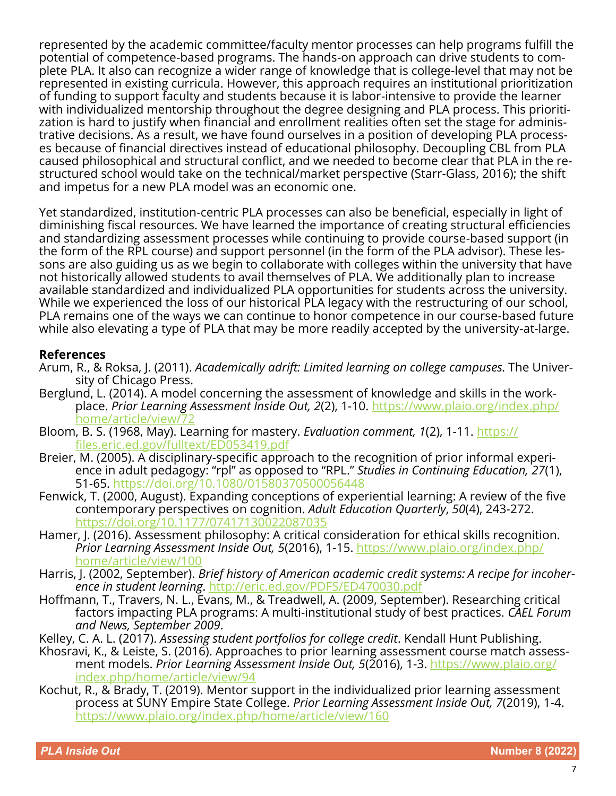represented by the academic committee/faculty mentor processes can help programs fulfill the potential of competence-based programs. The hands-on approach can drive students to complete PLA. It also can recognize a wider range of knowledge that is college-level that may not be represented in existing curricula. However, this approach requires an institutional prioritization of funding to support faculty and students because it is labor-intensive to provide the learner with individualized mentorship throughout the degree designing and PLA process. This prioritization is hard to justify when financial and enrollment realities often set the stage for administrative decisions. As a result, we have found ourselves in a position of developing PLA processes because of financial directives instead of educational philosophy. Decoupling CBL from PLA caused philosophical and structural conflict, and we needed to become clear that PLA in the restructured school would take on the technical/market perspective (Starr-Glass, 2016); the shift and impetus for a new PLA model was an economic one.

Yet standardized, institution-centric PLA processes can also be beneficial, especially in light of diminishing fiscal resources. We have learned the importance of creating structural efficiencies and standardizing assessment processes while continuing to provide course-based support (in the form of the RPL course) and support personnel (in the form of the PLA advisor). These lessons are also guiding us as we begin to collaborate with colleges within the university that have not historically allowed students to avail themselves of PLA. We additionally plan to increase available standardized and individualized PLA opportunities for students across the university. While we experienced the loss of our historical PLA legacy with the restructuring of our school, PLA remains one of the ways we can continue to honor competence in our course-based future while also elevating a type of PLA that may be more readily accepted by the university-at-large.

## **References**

- Arum, R., & Roksa, J. (2011). *Academically adrift: Limited learning on college campuses*. The University of Chicago Press.
- Berglund, L. (2014). A model concerning the assessment of knowledge and skills in the workplace. *Prior Learning Assessment Inside Out, 2*(2), 1-10. [https://www.plaio.org/index.php/](https://www.plaio.org/index.php/home/article/view/72) [home/article/view/72](https://www.plaio.org/index.php/home/article/view/72)
- Bloom, B. S. (1968, May). Learning for mastery. *Evaluation comment, 1*(2), 1-11. [https://](https://files.eric.ed.gov/fulltext/ED053419.pdf) [files.eric.ed.gov/fulltext/ED053419.pdf](https://files.eric.ed.gov/fulltext/ED053419.pdf)
- Breier, M. (2005). A disciplinary-specific approach to the recognition of prior informal experience in adult pedagogy: "rpl" as opposed to "RPL." *Studies in Continuing Education, 27*(1), 51-65. <https://doi.org/10.1080/01580370500056448>
- Fenwick, T. (2000, August). Expanding conceptions of experiential learning: A review of the five contemporary perspectives on cognition. *Adult Education Quarterly*, *50*(4), 243-272. <https://doi.org/10.1177/07417130022087035>
- Hamer, J. (2016). Assessment philosophy: A critical consideration for ethical skills recognition. *Prior Learning Assessment Inside Out, 5*(2016), 1-15. [https://www.plaio.org/index.php/](https://www.plaio.org/index.php/home/article/view/100) [home/article/view/100](https://www.plaio.org/index.php/home/article/view/100)
- Harris, J. (2002, September). *Brief history of American academic credit systems: A recipe for incoherence in student learning*. <http://eric.ed.gov/PDFS/ED470030.pdf>
- Hoffmann, T., Travers, N. L., Evans, M., & Treadwell, A. (2009, September). Researching critical factors impacting PLA programs: A multi-institutional study of best practices. *CAEL Forum and News, September 2009*.
- Kelley, C. A. L. (2017). *Assessing student portfolios for college credit*. Kendall Hunt Publishing.
- Khosravi, K., & Leiste, S. (2016). Approaches to prior learning assessment course match assessment models. *Prior Learning Assessment Inside Out, 5*(2016), 1-3. [https://www.plaio.org/](https://www.plaio.org/index.php/home/article/view/94) [index.php/home/article/view/94](https://www.plaio.org/index.php/home/article/view/94)
- Kochut, R., & Brady, T. (2019). Mentor support in the individualized prior learning assessment process at SUNY Empire State College. *Prior Learning Assessment Inside Out, 7*(2019), 1-4. <https://www.plaio.org/index.php/home/article/view/160>